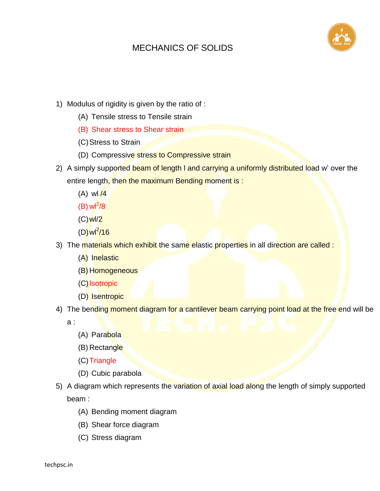

- 1) Modulus of rigidity is given by the ratio of :
	- (A) Tensile stress to Tensile strain
	- (B) Shear stress to Shear strain
	- (C)Stress to Strain
	- (D) Compressive stress to Compressive strain
- 2) A simply supported beam of length I and carrying a uniformly distributed load w' over the entire length, then the maximum Bending moment is:
	- $(A)$  w $\frac{1}{4}$
	- $(B)$  wl<sup>2</sup>/8
	- (C)wl/2
	- (D) wl<sup>2</sup>/16
- 3) The materials which exhibit the same elastic properties in all direction are called :
	- (A) Inelastic
	- (B) Homogeneous
	- (C) Isotropic
	- (D) Isentropic
- 4) The bending moment diagram for a cantilever beam carrying point load at the free end will be

a :

- (A) Parabola
- (B) Rectangle
- (C)Triangle
- (D) Cubic parabola
- 5) A diagram which represents the variation of axial load along the length of simply supported beam :
	- (A) Bending moment diagram
	- (B) Shear force diagram
	- (C) Stress diagram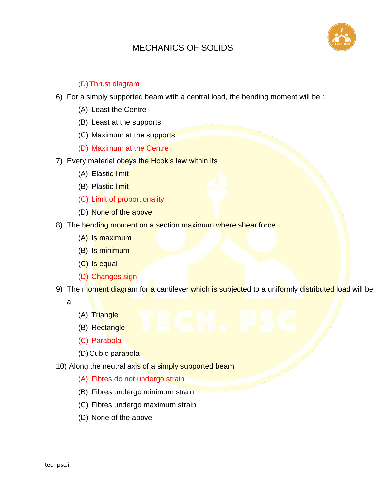

#### (D)Thrust diagram

- 6) For a simply supported beam with a central load, the bending moment will be :
	- (A) Least the Centre
	- (B) Least at the supports
	- (C) Maximum at the supports
	- (D) Maximum at the Centre
- 7) Every material obeys the Hook's law within its
	- (A) Elastic limit
	- (B) Plastic limit
	- (C) Limit of proportionality
	- (D) None of the above
- 8) The bending moment on a section maximum where shear force
	- (A) Is maximum
	- (B) Is minimum
	- (C) Is equal
	- (D) Changes sign
- 9) The moment diagram for a cantilever which is subjected to a uniformly distributed load will be
	- a
- (A) Triangle
- (B) Rectangle
- (C) Parabola
- (D) Cubic parabola
- 10) Along the neutral axis of a simply supported beam
	- (A) Fibres do not undergo strain
	- (B) Fibres undergo minimum strain
	- (C) Fibres undergo maximum strain
	- (D) None of the above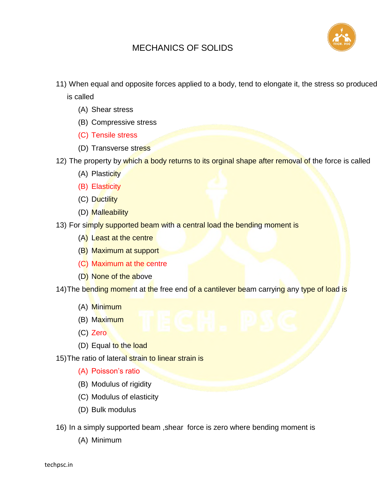

11) When equal and opposite forces applied to a body, tend to elongate it, the stress so produced

is called

- (A) Shear stress
- (B) Compressive stress
- (C) Tensile stress
- (D) Transverse stress
- 12) The property by which a body returns to its orginal shape after removal of the force is called
	- (A) Plasticity
	- (B) Elasticity
	- (C) Ductility
	- (D) Malleability
- 13) For simply supported beam with a central load the bending moment is
	- (A) Least at the centre
	- (B) Maximum at support
	- (C) Maximum at the centre
	- (D) None of the above

14) The bending moment at the free end of a cantilever beam carrying any type of load is

- (A) Minimum
- (B) Maximum
- (C) Zero
- (D) Equal to the load

15) The ratio of lateral strain to linear strain is

- (A) Poisson's ratio
- (B) Modulus of rigidity
- (C) Modulus of elasticity
- (D) Bulk modulus
- 16) In a simply supported beam ,shear force is zero where bending moment is
	- (A) Minimum